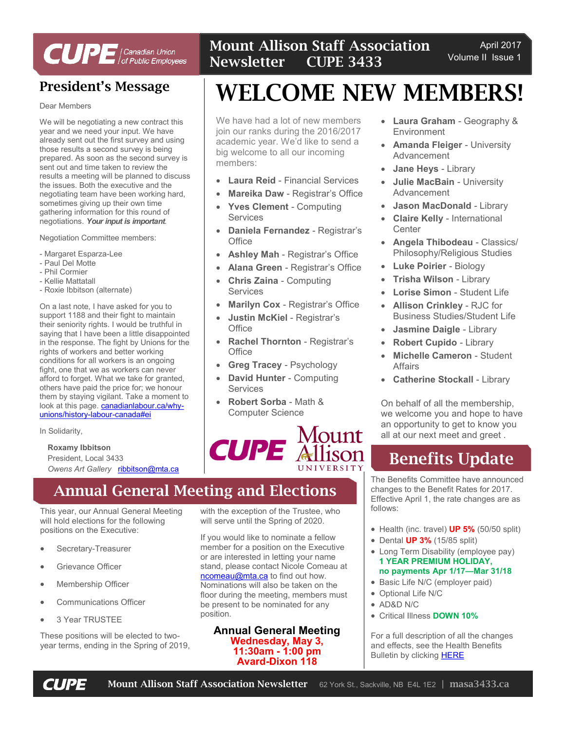

# President's Message

Dear Members

We will be negotiating a new contract this year and we need your input. We have already sent out the first survey and using those results a second survey is being prepared. As soon as the second survey is sent out and time taken to review the results a meeting will be planned to discuss the issues. Both the executive and the negotiating team have been working hard, sometimes giving up their own time gathering information for this round of negotiations. *Your input is important*.

Negotiation Committee members:

- Margaret Esparza-Lee
- Paul Del Motte
- Phil Cormier
- Kellie Mattatall
- Roxie Ibbitson (alternate)

On a last note, I have asked for you to support 1188 and their fight to maintain their seniority rights. I would be truthful in saying that I have been a little disappointed in the response. The fight by Unions for the rights of workers and better working conditions for all workers is an ongoing fight, one that we as workers can never afford to forget. What we take for granted, others have paid the price for; we honour them by staying vigilant. Take a moment to look at this page. **[canadianlabour.ca/why](http://canadianlabour.ca/why-unions/history-labour-canada#ei)**[unions/history](http://canadianlabour.ca/why-unions/history-labour-canada#ei)-labour-canada#ei

In Solidarity,

#### **Roxamy Ibbitson**

President, Local 3433 *Owens Art Gallery* [ribbitson@mta.ca](mailto:ribbitson@mta.ca)

# Annual General Meeting and Elections

This year, our Annual General Meeting will hold elections for the following positions on the Executive:

- Secretary-Treasurer
- Grievance Officer
- Membership Officer
- Communications Officer
- 3 Year TRUSTEE

These positions will be elected to twoyear terms, ending in the Spring of 2019, Mount Allison Staff Association Newsletter CUPE 3433

# WELCOME NEW MEMBERS!

We have had a lot of new members join our ranks during the 2016/2017 academic year. We'd like to send a big welcome to all our incoming members:

- **Laura Reid**  Financial Services
- **Mareika Daw**  Registrar's Office
- **Yves Clement**  Computing Services
- **Daniela Fernandez**  Registrar's **Office**
- **Ashley Mah**  Registrar's Office
- **Alana Green**  Registrar's Office
- **Chris Zaina**  Computing Services
- **Marilyn Cox**  Registrar's Office
- **Justin McKiel**  Registrar's **Office**
- **Rachel Thornton**  Registrar's **Office**
- **Greg Tracey**  Psychology
- **David Hunter**  Computing **Services**
- **Robert Sorba**  Math & Computer Science



with the exception of the Trustee, who will serve until the Spring of 2020.

If you would like to nominate a fellow member for a position on the Executive or are interested in letting your name stand, please contact Nicole Comeau at [ncomeau@mta.ca](mailto:ncomeau@mta.ca) to find out how. Nominations will also be taken on the floor during the meeting, members must be present to be nominated for any position.

#### **Annual General Meeting Wednesday, May 3, 11:30am - 1:00 pm Avard-Dixon 118**

- **Laura Graham**  Geography & Environment
- **Amanda Fleiger University** Advancement
- **Jane Heys**  Library
- **Julie MacBain**  University Advancement
- **Jason MacDonald**  Library
- **Claire Kelly**  International **Center**
- **Angela Thibodeau**  Classics/ Philosophy/Religious Studies
- **Luke Poirier**  Biology
- **Trisha Wilson**  Library
- **Lorise Simon**  Student Life
- **Allison Crinkley**  RJC for Business Studies/Student Life
- **Jasmine Daigle**  Library
- **Robert Cupido**  Library
- **Michelle Cameron**  Student Affairs
- **Catherine Stockall**  Library

On behalf of all the membership, we welcome you and hope to have an opportunity to get to know you all at our next meet and greet .

# Benefits Update

The Benefits Committee have announced changes to the Benefit Rates for 2017. Effective April 1, the rate changes are as follows:

- Health (inc. travel) **UP 5%** (50/50 split)
- Dental **UP 3%** (15/85 split)
- Long Term Disability (employee pay) **1 YEAR PREMIUM HOLIDAY, no payments Apr 1/17—Mar 31/18**
- Basic Life N/C (employer paid)
- Optional Life N/C
- AD&D N/C
- Critical Illness **DOWN 10%**

For a full description of all the changes and effects, see the Health Benefits Bulletin by clicking [HERE](http://mta.ca/uploadedFiles/Community/Administrative_departments/Human_Resources/Benefits/Resources/Renewal%20Newsletter%202017.pdf)

April 2017 Volume II Issue 1